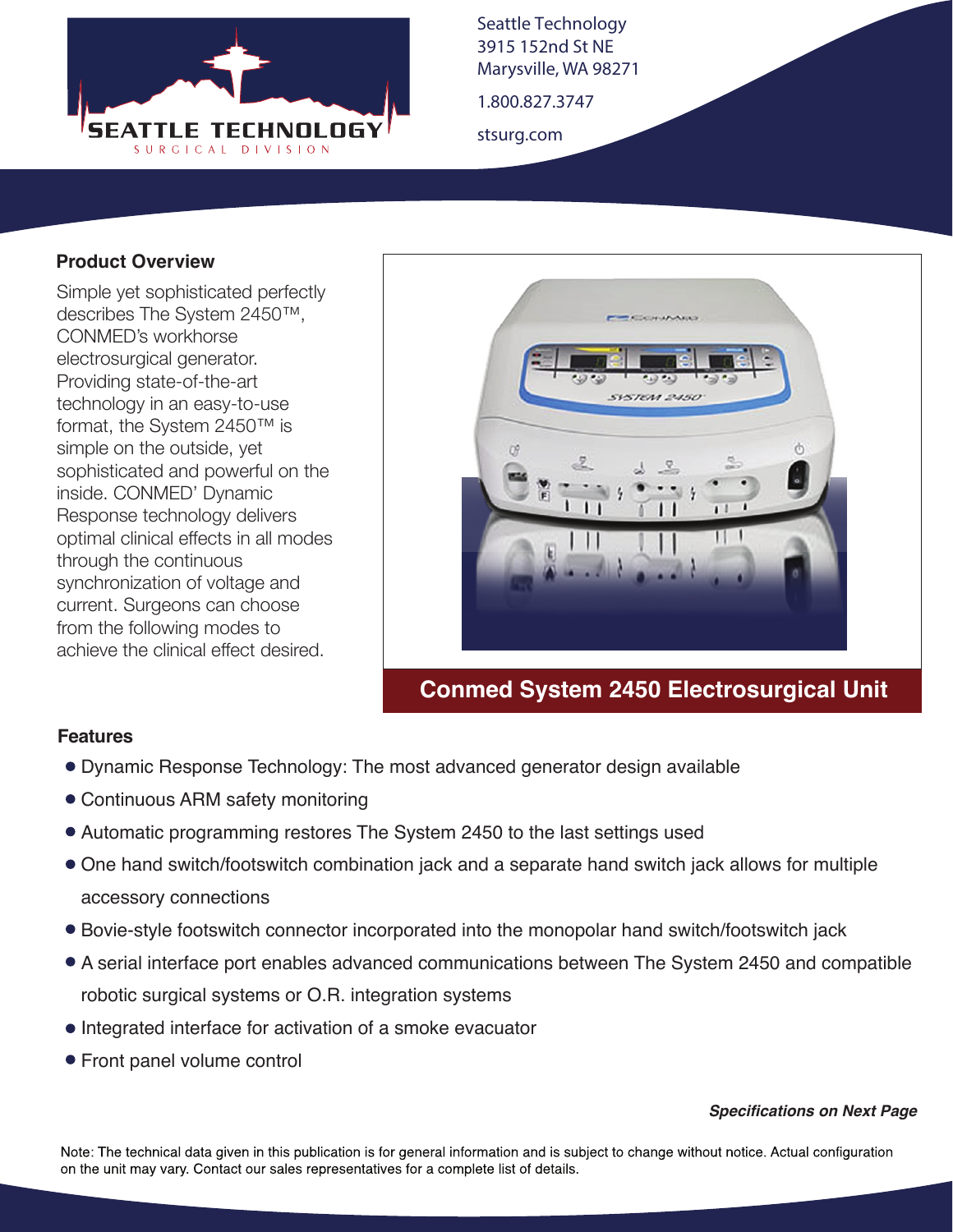

Seattle Technology 3915 152nd St NE Marysville, WA 98271

1.800.827.3747

stsurg.com

#### **Product Overview**

Simple yet sophisticated perfectly describes The System 2450™, CONMED's workhorse electrosurgical generator. Providing state-of-the-art technology in an easy-to-use format, the System 2450™ is simple on the outside, yet sophisticated and powerful on the inside. CONMED' Dynamic Response technology delivers optimal clinical effects in all modes through the continuous synchronization of voltage and current. Surgeons can choose from the following modes to achieve the clinical effect desired.



## **Conmed System 2450 Electrosurgical Unit**

#### **Features**

- Dynamic Response Technology: The most advanced generator design available
- Continuous ARM safety monitoring
- Automatic programming restores The System 2450 to the last settings used
- One hand switch/footswitch combination jack and a separate hand switch jack allows for multiple accessory connections
- Bovie-style footswitch connector incorporated into the monopolar hand switch/footswitch jack
- A serial interface port enables advanced communications between The System 2450 and compatible robotic surgical systems or O.R. integration systems
- Integrated interface for activation of a smoke evacuator
- Front panel volume control

#### *Specifications on Next Page*

Note: The technical data given in this publication is for general information and is subject to change without notice. Actual configuration on the unit may vary. Contact our sales representatives for a complete list of details.